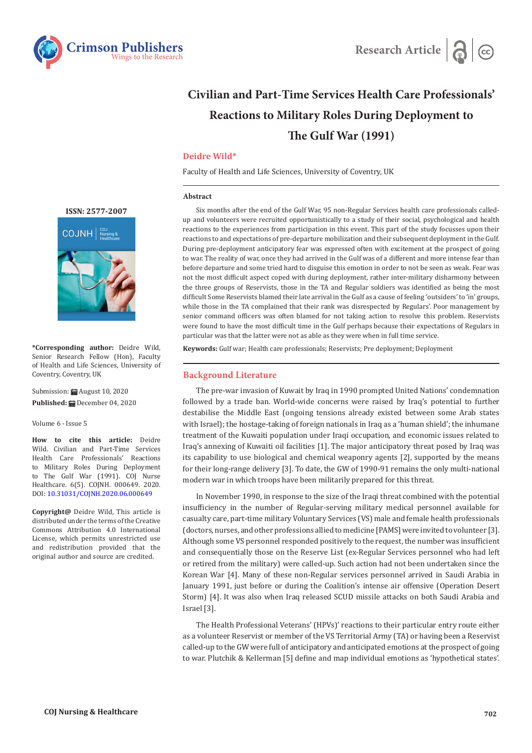



# **Civilian and Part-Time Services Health Care Professionals' Reactions to Military Roles During Deployment to The Gulf War (1991)**

## **Deidre Wild\***

Faculty of Health and Life Sciences, University of Coventry, UK

#### **Abstract**

Six months after the end of the Gulf War, 95 non-Regular Services health care professionals calledup and volunteers were recruited opportunistically to a study of their social, psychological and health reactions to the experiences from participation in this event. This part of the study focusses upon their reactions to and expectations of pre-departure mobilization and their subsequent deployment in the Gulf. During pre-deployment anticipatory fear was expressed often with excitement at the prospect of going to war. The reality of war, once they had arrived in the Gulf was of a different and more intense fear than before departure and some tried hard to disguise this emotion in order to not be seen as weak. Fear was not the most difficult aspect coped with during deployment, rather inter-military disharmony between the three groups of Reservists, those in the TA and Regular soldiers was identified as being the most difficult Some Reservists blamed their late arrival in the Gulf as a cause of feeling 'outsiders' to 'in' groups, while those in the TA complained that their rank was disrespected by Regulars'. Poor management by senior command officers was often blamed for not taking action to resolve this problem. Reservists were found to have the most difficult time in the Gulf perhaps because their expectations of Regulars in particular was that the latter were not as able as they were when in full time service.

**Keywords:** Gulf war; Health care professionals; Reservists; Pre deployment; Deployment

#### **Background Literature**

The pre-war invasion of Kuwait by Iraq in 1990 prompted United Nations' condemnation followed by a trade ban. World-wide concerns were raised by Iraq's potential to further destabilise the Middle East (ongoing tensions already existed between some Arab states with Israel); the hostage-taking of foreign nationals in Iraq as a 'human shield'; the inhumane treatment of the Kuwaiti population under Iraqi occupation, and economic issues related to Iraq's annexing of Kuwaiti oil facilities [1]. The major anticipatory threat posed by Iraq was its capability to use biological and chemical weaponry agents [2], supported by the means for their long-range delivery [3]. To date, the GW of 1990-91 remains the only multi-national modern war in which troops have been militarily prepared for this threat.

In November 1990, in response to the size of the Iraqi threat combined with the potential insufficiency in the number of Regular-serving military medical personnel available for casualty care, part-time military Voluntary Services (VS) male and female health professionals (doctors, nurses, and other professions allied to medicine [PAMS] were invited to volunteer [3]. Although some VS personnel responded positively to the request, the number was insufficient and consequentially those on the Reserve List (ex-Regular Services personnel who had left or retired from the military) were called-up. Such action had not been undertaken since the Korean War [4]. Many of these non-Regular services personnel arrived in Saudi Arabia in January 1991, just before or during the Coalition's intense air offensive (Operation Desert Storm) [4]. It was also when Iraq released SCUD missile attacks on both Saudi Arabia and Israel [3].

The Health Professional Veterans' (HPVs)' reactions to their particular entry route either as a volunteer Reservist or member of the VS Territorial Army (TA) or having been a Reservist called-up to the GW were full of anticipatory and anticipated emotions at the prospect of going to war. Plutchik & Kellerman [5] define and map individual emotions as 'hypothetical states'.



**\*Corresponding author:** Deidre Wild, Senior Research Fellow (Hon), Faculty of Health and Life Sciences, University of Coventry, Coventry, UK

Submission:  $\frac{1}{2}$  August 10, 2020 Published: **■** December 04, 2020

Volume 6 - Issue 5

**How to cite this article:** Deidre Wild. Civilian and Part-Time Services Health Care Professionals' Reactions to Military Roles During Deployment to The Gulf War (1991). COJ Nurse Healthcare. 6(5). COJNH. 000649. 2020. DOI: [10.31031/COJNH.2020.06.000649](http://dx.doi.org/10.31031/COJNH.2020.06.000649)

**Copyright@** Deidre Wild, This article is distributed under the terms of the Creative Commons Attribution 4.0 International License, which permits unrestricted use and redistribution provided that the original author and source are credited.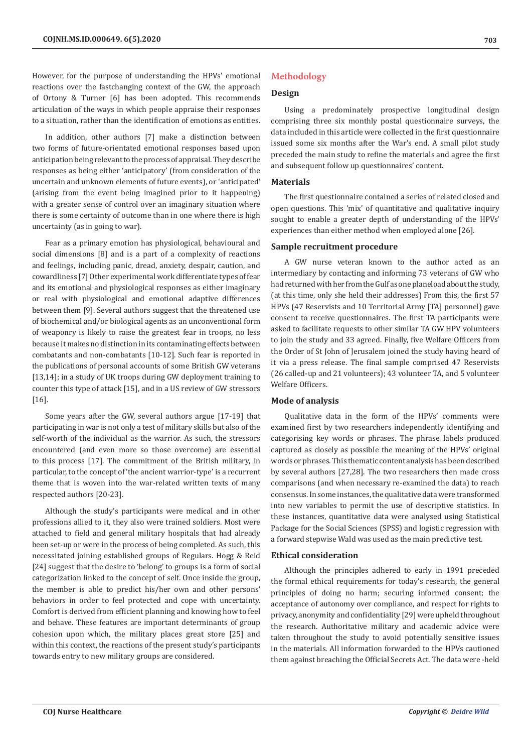However, for the purpose of understanding the HPVs' emotional reactions over the fastchanging context of the GW, the approach of Ortony & Turner [6] has been adopted. This recommends articulation of the ways in which people appraise their responses to a situation, rather than the identification of emotions as entities.

In addition, other authors [7] make a distinction between two forms of future-orientated emotional responses based upon anticipation being relevant to the process of appraisal. They describe responses as being either 'anticipatory' (from consideration of the uncertain and unknown elements of future events), or 'anticipated' (arising from the event being imagined prior to it happening) with a greater sense of control over an imaginary situation where there is some certainty of outcome than in one where there is high uncertainty (as in going to war).

Fear as a primary emotion has physiological, behavioural and social dimensions [8] and is a part of a complexity of reactions and feelings, including panic, dread, anxiety, despair, caution, and cowardliness [7] Other experimental work differentiate types of fear and its emotional and physiological responses as either imaginary or real with physiological and emotional adaptive differences between them [9]. Several authors suggest that the threatened use of biochemical and/or biological agents as an unconventional form of weaponry is likely to raise the greatest fear in troops, no less because it makes no distinction in its contaminating effects between combatants and non-combatants [10-12]. Such fear is reported in the publications of personal accounts of some British GW veterans [13,14]; in a study of UK troops during GW deployment training to counter this type of attack [15], and in a US review of GW stressors [16].

Some years after the GW, several authors argue [17-19] that participating in war is not only a test of military skills but also of the self-worth of the individual as the warrior. As such, the stressors encountered (and even more so those overcome) are essential to this process [17]. The commitment of the British military, in particular, to the concept of 'the ancient warrior-type' is a recurrent theme that is woven into the war-related written texts of many respected authors [20-23].

Although the study's participants were medical and in other professions allied to it, they also were trained soldiers. Most were attached to field and general military hospitals that had already been set-up or were in the process of being completed. As such, this necessitated joining established groups of Regulars. Hogg & Reid [24] suggest that the desire to 'belong' to groups is a form of social categorization linked to the concept of self. Once inside the group, the member is able to predict his/her own and other persons' behaviors in order to feel protected and cope with uncertainty. Comfort is derived from efficient planning and knowing how to feel and behave. These features are important determinants of group cohesion upon which, the military places great store [25] and within this context, the reactions of the present study's participants towards entry to new military groups are considered.

## **Methodology**

## **Design**

Using a predominately prospective longitudinal design comprising three six monthly postal questionnaire surveys, the data included in this article were collected in the first questionnaire issued some six months after the War's end. A small pilot study preceded the main study to refine the materials and agree the first and subsequent follow up questionnaires' content.

#### **Materials**

The first questionnaire contained a series of related closed and open questions. This 'mix' of quantitative and qualitative inquiry sought to enable a greater depth of understanding of the HPVs' experiences than either method when employed alone [26].

#### **Sample recruitment procedure**

A GW nurse veteran known to the author acted as an intermediary by contacting and informing 73 veterans of GW who had returned with her from the Gulf as one planeload about the study, (at this time, only she held their addresses) From this, the first 57 HPVs (47 Reservists and 10 Territorial Army [TA] personnel) gave consent to receive questionnaires. The first TA participants were asked to facilitate requests to other similar TA GW HPV volunteers to join the study and 33 agreed. Finally, five Welfare Officers from the Order of St John of Jerusalem joined the study having heard of it via a press release. The final sample comprised 47 Reservists (26 called-up and 21 volunteers); 43 volunteer TA, and 5 volunteer Welfare Officers.

#### **Mode of analysis**

Qualitative data in the form of the HPVs' comments were examined first by two researchers independently identifying and categorising key words or phrases. The phrase labels produced captured as closely as possible the meaning of the HPVs' original words or phrases. This thematic content analysis has been described by several authors [27,28]. The two researchers then made cross comparisons (and when necessary re-examined the data) to reach consensus. In some instances, the qualitative data were transformed into new variables to permit the use of descriptive statistics. In these instances, quantitative data were analysed using Statistical Package for the Social Sciences (SPSS) and logistic regression with a forward stepwise Wald was used as the main predictive test.

#### **Ethical consideration**

Although the principles adhered to early in 1991 preceded the formal ethical requirements for today's research, the general principles of doing no harm; securing informed consent; the acceptance of autonomy over compliance, and respect for rights to privacy, anonymity and confidentiality [29] were upheld throughout the research. Authoritative military and academic advice were taken throughout the study to avoid potentially sensitive issues in the materials. All information forwarded to the HPVs cautioned them against breaching the Official Secrets Act. The data were -held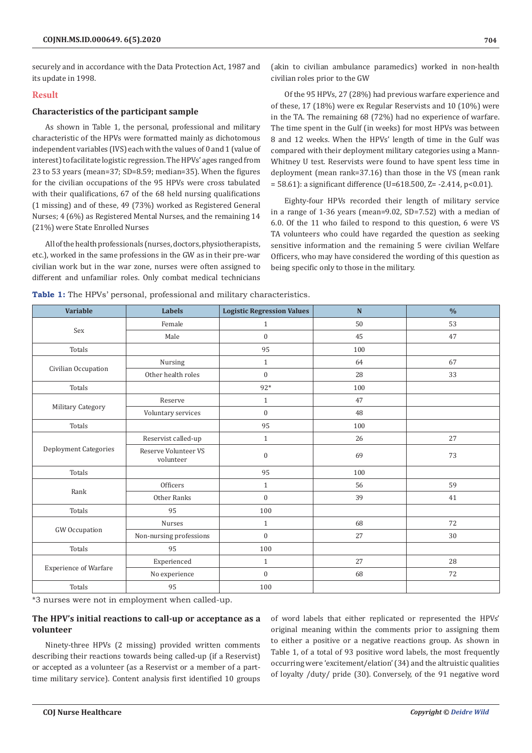securely and in accordance with the Data Protection Act, 1987 and its update in 1998.

## **Result**

## **Characteristics of the participant sample**

As shown in Table 1, the personal, professional and military characteristic of the HPVs were formatted mainly as dichotomous independent variables (IVS) each with the values of 0 and 1 (value of interest) to facilitate logistic regression. The HPVs' ages ranged from 23 to 53 years (mean=37; SD=8.59; median=35). When the figures for the civilian occupations of the 95 HPVs were cross tabulated with their qualifications, 67 of the 68 held nursing qualifications (1 missing) and of these, 49 (73%) worked as Registered General Nurses; 4 (6%) as Registered Mental Nurses, and the remaining 14 (21%) were State Enrolled Nurses

All of the health professionals (nurses, doctors, physiotherapists, etc.), worked in the same professions in the GW as in their pre-war civilian work but in the war zone, nurses were often assigned to different and unfamiliar roles. Only combat medical technicians

(akin to civilian ambulance paramedics) worked in non-health civilian roles prior to the GW

Of the 95 HPVs, 27 (28%) had previous warfare experience and of these, 17 (18%) were ex Regular Reservists and 10 (10%) were in the TA. The remaining 68 (72%) had no experience of warfare. The time spent in the Gulf (in weeks) for most HPVs was between 8 and 12 weeks. When the HPVs' length of time in the Gulf was compared with their deployment military categories using a Mann-Whitney U test. Reservists were found to have spent less time in deployment (mean rank=37.16) than those in the VS (mean rank = 58.61): a significant difference (U=618.500, Z= -2.414, p<0.01).

Eighty-four HPVs recorded their length of military service in a range of 1-36 years (mean=9.02, SD=7.52) with a median of 6.0. Of the 11 who failed to respond to this question, 6 were VS TA volunteers who could have regarded the question as seeking sensitive information and the remaining 5 were civilian Welfare Officers, who may have considered the wording of this question as being specific only to those in the military.

| <b>Variable</b>              | <b>Labels</b>                     | <b>Logistic Regression Values</b> | N   | $\frac{0}{0}$ |
|------------------------------|-----------------------------------|-----------------------------------|-----|---------------|
|                              | Female                            | $\mathbf{1}$                      | 50  | 53            |
| Sex                          | Male                              | $\boldsymbol{0}$                  | 45  | 47            |
| Totals                       |                                   | 95                                | 100 |               |
|                              | Nursing                           | $\mathbf{1}$                      | 64  | 67            |
| Civilian Occupation          | Other health roles                | $\mathbf{0}$                      | 28  | 33            |
| Totals                       |                                   | $92*$                             | 100 |               |
|                              | Reserve                           | $\mathbf{1}$                      | 47  |               |
| Military Category            | Voluntary services                | $\boldsymbol{0}$                  | 48  |               |
| Totals                       |                                   | 95                                | 100 |               |
|                              | Reservist called-up               | $\mathbf{1}$                      | 26  | $27\,$        |
| Deployment Categories        | Reserve Volunteer VS<br>volunteer | $\boldsymbol{0}$                  | 69  | 73            |
| Totals                       |                                   | 95                                | 100 |               |
|                              | Officers                          | $\mathbf{1}$                      | 56  | 59            |
| Rank                         | Other Ranks                       | $\overline{0}$                    | 39  | 41            |
| Totals                       | 95                                | 100                               |     |               |
|                              | Nurses                            | $\mathbf{1}$                      | 68  | 72            |
| GW Occupation                | Non-nursing professions           | $\overline{0}$                    | 27  | $30\,$        |
| Totals                       | 95                                | 100                               |     |               |
|                              | Experienced                       | $\mathbf{1}$                      | 27  | 28            |
| <b>Experience of Warfare</b> | No experience                     | $\boldsymbol{0}$                  | 68  | 72            |
|                              |                                   |                                   |     |               |

**Table 1:** The HPVs' personal, professional and military characteristics.

\*3 nurses were not in employment when called-up.

# **The HPV's initial reactions to call-up or acceptance as a volunteer**

Totals 100

Ninety-three HPVs (2 missing) provided written comments describing their reactions towards being called-up (if a Reservist) or accepted as a volunteer (as a Reservist or a member of a parttime military service). Content analysis first identified 10 groups

of word labels that either replicated or represented the HPVs' original meaning within the comments prior to assigning them to either a positive or a negative reactions group. As shown in Table 1, of a total of 93 positive word labels, the most frequently occurring were 'excitement/elation' (34) and the altruistic qualities of loyalty /duty/ pride (30). Conversely, of the 91 negative word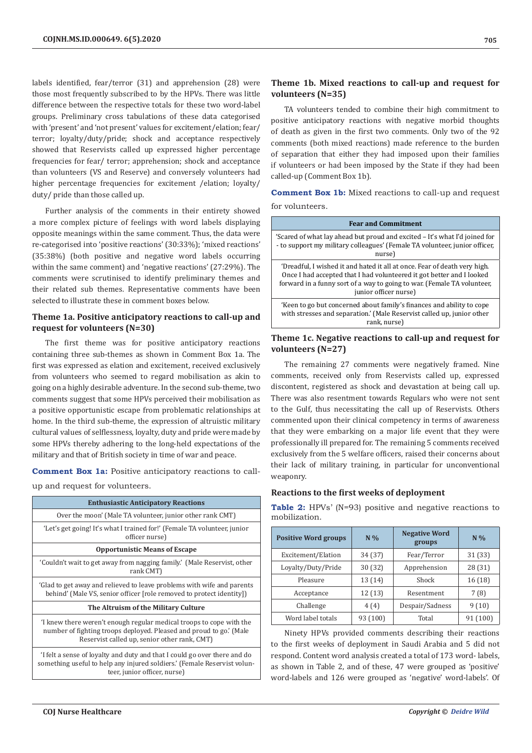labels identified, fear/terror (31) and apprehension (28) were those most frequently subscribed to by the HPVs. There was little difference between the respective totals for these two word-label groups. Preliminary cross tabulations of these data categorised with 'present' and 'not present' values for excitement/elation; fear/ terror; loyalty/duty/pride; shock and acceptance respectively showed that Reservists called up expressed higher percentage frequencies for fear/ terror; apprehension; shock and acceptance than volunteers (VS and Reserve) and conversely volunteers had higher percentage frequencies for excitement /elation; loyalty/ duty/ pride than those called up.

Further analysis of the comments in their entirety showed a more complex picture of feelings with word labels displaying opposite meanings within the same comment. Thus, the data were re-categorised into 'positive reactions' (30:33%); 'mixed reactions' (35:38%) (both positive and negative word labels occurring within the same comment) and 'negative reactions' (27:29%). The comments were scrutinised to identify preliminary themes and their related sub themes. Representative comments have been selected to illustrate these in comment boxes below.

## **Theme 1a. Positive anticipatory reactions to call-up and request for volunteers (N=30)**

The first theme was for positive anticipatory reactions containing three sub-themes as shown in Comment Box 1a. The first was expressed as elation and excitement, received exclusively from volunteers who seemed to regard mobilisation as akin to going on a highly desirable adventure. In the second sub-theme, two comments suggest that some HPVs perceived their mobilisation as a positive opportunistic escape from problematic relationships at home. In the third sub-theme, the expression of altruistic military cultural values of selflessness, loyalty, duty and pride were made by some HPVs thereby adhering to the long-held expectations of the military and that of British society in time of war and peace.

**Comment Box 1a:** Positive anticipatory reactions to callup and request for volunteers.

| <b>Enthusiastic Anticipatory Reactions</b>                                                                                                                                                 |  |  |  |  |  |
|--------------------------------------------------------------------------------------------------------------------------------------------------------------------------------------------|--|--|--|--|--|
| Over the moon' (Male TA volunteer, junior other rank CMT)                                                                                                                                  |  |  |  |  |  |
| 'Let's get going! It's what I trained for!' (Female TA volunteer, junior<br>officer nurse)                                                                                                 |  |  |  |  |  |
| <b>Opportunistic Means of Escape</b>                                                                                                                                                       |  |  |  |  |  |
| 'Couldn't wait to get away from nagging family.' (Male Reservist, other<br>rank CMT)                                                                                                       |  |  |  |  |  |
| 'Glad to get away and relieved to leave problems with wife and parents<br>behind' (Male VS, senior officer [role removed to protect identity])                                             |  |  |  |  |  |
| The Altruism of the Military Culture                                                                                                                                                       |  |  |  |  |  |
| I knew there weren't enough regular medical troops to cope with the<br>number of fighting troops deployed. Pleased and proud to go.' (Male<br>Reservist called up, senior other rank, CMT) |  |  |  |  |  |
| I felt a sense of loyalty and duty and that I could go over there and do<br>something useful to help any injured soldiers.' (Female Reservist volun-<br>teer, junior officer, nurse)       |  |  |  |  |  |

## **Theme 1b. Mixed reactions to call-up and request for volunteers (N=35)**

TA volunteers tended to combine their high commitment to positive anticipatory reactions with negative morbid thoughts of death as given in the first two comments. Only two of the 92 comments (both mixed reactions) made reference to the burden of separation that either they had imposed upon their families if volunteers or had been imposed by the State if they had been called-up (Comment Box 1b).

**Comment Box 1b:** Mixed reactions to call-up and request for volunteers.

| <b>Fear and Commitment</b>                                                                                                                                                                                                                             |
|--------------------------------------------------------------------------------------------------------------------------------------------------------------------------------------------------------------------------------------------------------|
| 'Scared of what lay ahead but proud and excited – It's what I'd joined for<br>- to support my military colleagues' (Female TA volunteer, junior officer,<br>nurse)                                                                                     |
| 'Dreadful, I wished it and hated it all at once. Fear of death very high.<br>Once I had accepted that I had volunteered it got better and I looked<br>forward in a funny sort of a way to going to war. (Female TA volunteer,<br>junior officer nurse) |
| 'Keen to go but concerned about family's finances and ability to cope<br>with stresses and separation.' (Male Reservist called up, junior other<br>rank, nurse)                                                                                        |

## **Theme 1c. Negative reactions to call-up and request for volunteers (N=27)**

The remaining 27 comments were negatively framed. Nine comments, received only from Reservists called up, expressed discontent, registered as shock and devastation at being call up. There was also resentment towards Regulars who were not sent to the Gulf, thus necessitating the call up of Reservists. Others commented upon their clinical competency in terms of awareness that they were embarking on a major life event that they were professionally ill prepared for. The remaining 5 comments received exclusively from the 5 welfare officers, raised their concerns about their lack of military training, in particular for unconventional weaponry.

## **Reactions to the first weeks of deployment**

**Table 2:** HPVs' (N=93) positive and negative reactions to mobilization.

| <b>Positive Word groups</b> | $N\%$    | <b>Negative Word</b><br>groups | $N\%$    |
|-----------------------------|----------|--------------------------------|----------|
| Excitement/Elation          | 34 (37)  | Fear/Terror                    | 31 (33)  |
| Loyalty/Duty/Pride          | 30(32)   | Apprehension                   | 28 (31)  |
| Pleasure                    | 13 (14)  | Shock                          | 16 (18)  |
| Acceptance                  | 12(13)   | Resentment                     | 7(8)     |
| Challenge                   | 4(4)     | Despair/Sadness                | 9(10)    |
| Word label totals           | 93 (100) | Total                          | 91 (100) |

Ninety HPVs provided comments describing their reactions to the first weeks of deployment in Saudi Arabia and 5 did not respond. Content word analysis created a total of 173 word- labels, as shown in Table 2, and of these, 47 were grouped as 'positive' word-labels and 126 were grouped as 'negative' word-labels'. Of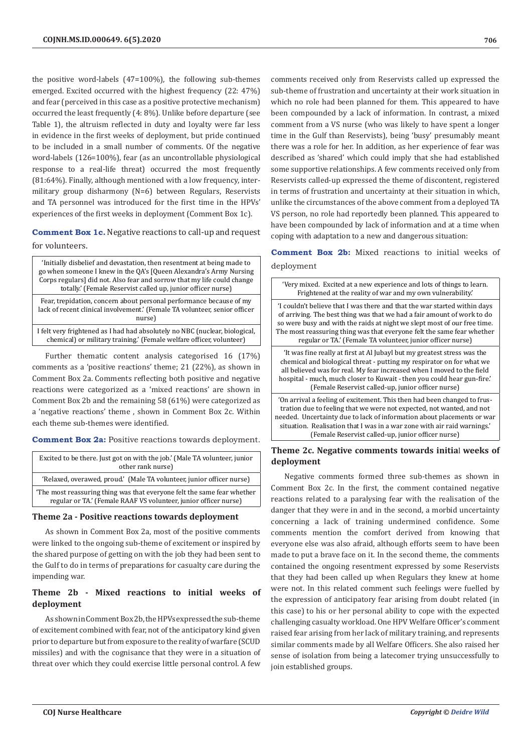the positive word-labels (47=100%), the following sub-themes emerged. Excited occurred with the highest frequency (22: 47%) and fear (perceived in this case as a positive protective mechanism) occurred the least frequently (4: 8%). Unlike before departure (see Table 1), the altruism reflected in duty and loyalty were far less in evidence in the first weeks of deployment, but pride continued to be included in a small number of comments. Of the negative word-labels (126=100%), fear (as an uncontrollable physiological response to a real-life threat) occurred the most frequently (81:64%). Finally, although mentioned with a low frequency, intermilitary group disharmony (N=6) between Regulars, Reservists and TA personnel was introduced for the first time in the HPVs' experiences of the first weeks in deployment (Comment Box 1c).

**Comment Box 1c.** Negative reactions to call-up and request for volunteers.

'Initially disbelief and devastation, then resentment at being made to go when someone I knew in the QA's [Queen Alexandra's Army Nursing Corps regulars] did not. Also fear and sorrow that my life could change totally.' (Female Reservist called up, junior officer nurse)

Fear, trepidation, concern about personal performance because of my lack of recent clinical involvement.' (Female TA volunteer, senior officer nurse)

I felt very frightened as I had had absolutely no NBC (nuclear, biological, chemical) or military training.' (Female welfare officer, volunteer)

Further thematic content analysis categorised 16 (17%) comments as a 'positive reactions' theme; 21 (22%), as shown in Comment Box 2a. Comments reflecting both positive and negative reactions were categorized as a 'mixed reactions' are shown in Comment Box 2b and the remaining 58 (61%) were categorized as a 'negative reactions' theme , shown in Comment Box 2c. Within each theme sub-themes were identified.

**Comment Box 2a:** Positive reactions towards deployment.

| Excited to be there. Just got on with the job.' (Male TA volunteer, junior<br>other rank nurse)                                            |
|--------------------------------------------------------------------------------------------------------------------------------------------|
| 'Relaxed, overawed, proud.' (Male TA volunteer, junior officer nurse)                                                                      |
| The most reassuring thing was that everyone felt the same fear whether<br>regular or TA.' (Female RAAF VS volunteer, junior officer nurse) |

#### **Theme 2a - Positive reactions towards deployment**

As shown in Comment Box 2a, most of the positive comments were linked to the ongoing sub-theme of excitement or inspired by the shared purpose of getting on with the job they had been sent to the Gulf to do in terms of preparations for casualty care during the impending war.

## **Theme 2b - Mixed reactions to initial weeks of deployment**

As shown in Comment Box 2b, the HPVs expressed the sub-theme of excitement combined with fear, not of the anticipatory kind given prior to departure but from exposure to the reality of warfare (SCUD missiles) and with the cognisance that they were in a situation of threat over which they could exercise little personal control. A few

comments received only from Reservists called up expressed the sub-theme of frustration and uncertainty at their work situation in which no role had been planned for them. This appeared to have been compounded by a lack of information. In contrast, a mixed comment from a VS nurse (who was likely to have spent a longer time in the Gulf than Reservists), being 'busy' presumably meant there was a role for her. In addition, as her experience of fear was described as 'shared' which could imply that she had established some supportive relationships. A few comments received only from Reservists called-up expressed the theme of discontent, registered in terms of frustration and uncertainty at their situation in which, unlike the circumstances of the above comment from a deployed TA VS person, no role had reportedly been planned. This appeared to have been compounded by lack of information and at a time when coping with adaptation to a new and dangerous situation:

# **Comment Box 2b:** Mixed reactions to initial weeks of deployment

| 'Very mixed. Excited at a new experience and lots of things to learn.<br>Frightened at the reality of war and my own vulnerability.'                                                                                                                                                                                                                                      |
|---------------------------------------------------------------------------------------------------------------------------------------------------------------------------------------------------------------------------------------------------------------------------------------------------------------------------------------------------------------------------|
| 'I couldn't believe that I was there and that the war started within days<br>of arriving. The best thing was that we had a fair amount of work to do<br>so were busy and with the raids at night we slept most of our free time.<br>The most reassuring thing was that everyone felt the same fear whether<br>regular or TA.' (Female TA volunteer, junior officer nurse) |
| 'It was fine really at first at Al Jubayl but my greatest stress was the<br>chemical and biological threat - putting my respirator on for what we<br>all believed was for real. My fear increased when I moved to the field<br>hospital - much, much closer to Kuwait - then you could hear gun-fire.'<br>(Female Reservist called-up, junior officer nurse)              |
| 'On arrival a feeling of excitement. This then had been changed to frus-<br>tration due to feeling that we were not expected, not wanted, and not<br>needed. Uncertainty due to lack of information about placements or war<br>situation. Realisation that I was in a war zone with air raid warnings.<br>(Female Reservist called-up, junior officer nurse)              |

## **Theme 2c. Negative comments towards initia**l **weeks of deployment**

Negative comments formed three sub-themes as shown in Comment Box 2c. In the first, the comment contained negative reactions related to a paralysing fear with the realisation of the danger that they were in and in the second, a morbid uncertainty concerning a lack of training undermined confidence. Some comments mention the comfort derived from knowing that everyone else was also afraid, although efforts seem to have been made to put a brave face on it. In the second theme, the comments contained the ongoing resentment expressed by some Reservists that they had been called up when Regulars they knew at home were not. In this related comment such feelings were fuelled by the expression of anticipatory fear arising from doubt related (in this case) to his or her personal ability to cope with the expected challenging casualty workload. One HPV Welfare Officer's comment raised fear arising from her lack of military training, and represents similar comments made by all Welfare Officers. She also raised her sense of isolation from being a latecomer trying unsuccessfully to join established groups.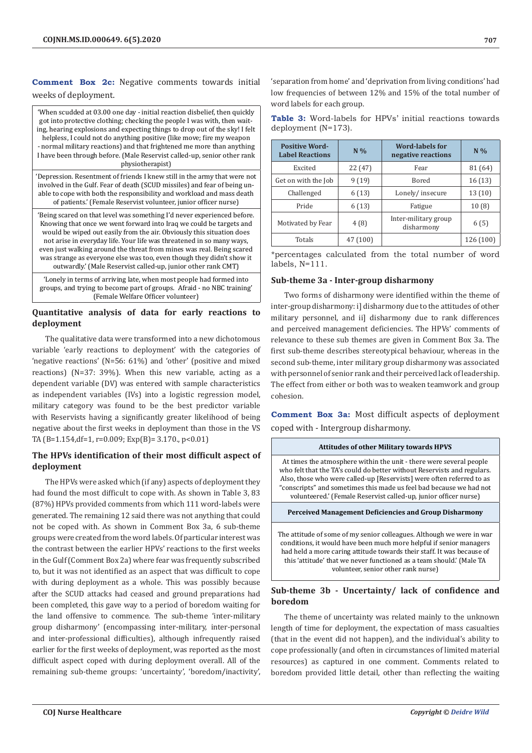# **Comment Box 2c:** Negative comments towards initial weeks of deployment.

| 'When scudded at 03.00 one day - initial reaction disbelief, then quickly<br>got into protective clothing; checking the people I was with, then wait-<br>ing, hearing explosions and expecting things to drop out of the sky! I felt<br>helpless, I could not do anything positive (like move; fire my weapon<br>- normal military reactions) and that frightened me more than anything<br>I have been through before. (Male Reservist called-up, senior other rank<br>physiotherapist)                            |
|--------------------------------------------------------------------------------------------------------------------------------------------------------------------------------------------------------------------------------------------------------------------------------------------------------------------------------------------------------------------------------------------------------------------------------------------------------------------------------------------------------------------|
| 'Depression. Resentment of friends I knew still in the army that were not<br>involved in the Gulf. Fear of death (SCUD missiles) and fear of being un-<br>able to cope with both the responsibility and workload and mass death<br>of patients.' (Female Reservist volunteer, junior officer nurse)                                                                                                                                                                                                                |
| 'Being scared on that level was something I'd never experienced before.<br>Knowing that once we went forward into Iraq we could be targets and<br>would be wiped out easily from the air. Obviously this situation does<br>not arise in everyday life. Your life was threatened in so many ways,<br>even just walking around the threat from mines was real. Being scared<br>was strange as everyone else was too, even though they didn't show it<br>outwardly' (Male Reservist called-up, junior other rank CMT) |
| Lonely in terms of arriving late, when most people had formed into                                                                                                                                                                                                                                                                                                                                                                                                                                                 |

'Lonely in terms of arriving late, when most people had formed into groups, and trying to become part of groups. Afraid - no NBC training' (Female Welfare Officer volunteer)

## **Quantitative analysis of data for early reactions to deployment**

The qualitative data were transformed into a new dichotomous variable 'early reactions to deployment' with the categories of 'negative reactions' (N=56: 61%) and 'other' (positive and mixed reactions) (N=37: 39%). When this new variable, acting as a dependent variable (DV) was entered with sample characteristics as independent variables (IVs) into a logistic regression model, military category was found to be the best predictor variable with Reservists having a significantly greater likelihood of being negative about the first weeks in deployment than those in the VS TA (B=1.154,df=1, r=0.009; Exp(B)= 3.170., p<0.01)

# **The HPVs identification of their most difficult aspect of deployment**

The HPVs were asked which (if any) aspects of deployment they had found the most difficult to cope with. As shown in Table 3, 83 (87%) HPVs provided comments from which 111 word-labels were generated. The remaining 12 said there was not anything that could not be coped with. As shown in Comment Box 3a, 6 sub-theme groups were created from the word labels. Of particular interest was the contrast between the earlier HPVs' reactions to the first weeks in the Gulf (Comment Box 2a) where fear was frequently subscribed to, but it was not identified as an aspect that was difficult to cope with during deployment as a whole. This was possibly because after the SCUD attacks had ceased and ground preparations had been completed, this gave way to a period of boredom waiting for the land offensive to commence. The sub-theme 'inter-military group disharmony' (encompassing inter-military, inter-personal and inter-professional difficulties), although infrequently raised earlier for the first weeks of deployment, was reported as the most difficult aspect coped with during deployment overall. All of the remaining sub-theme groups: 'uncertainty', 'boredom/inactivity',

'separation from home' and 'deprivation from living conditions' had low frequencies of between 12% and 15% of the total number of word labels for each group.

|  | <b>Table 3:</b> Word-labels for HPVs' initial reactions towards |  |  |  |
|--|-----------------------------------------------------------------|--|--|--|
|  | deployment $(N=173)$ .                                          |  |  |  |

| <b>Positive Word-</b><br><b>Label Reactions</b> | $N\%$    | <b>Word-labels for</b><br>negative reactions | $N\%$     |
|-------------------------------------------------|----------|----------------------------------------------|-----------|
| Excited                                         | 22 (47)  | Fear                                         | 81 (64)   |
| Get on with the Job                             | 9(19)    | <b>Bored</b>                                 | 16(13)    |
| Challenged                                      | 6(13)    | Lonely/insecure                              | 13(10)    |
| Pride                                           | 6(13)    | Fatigue                                      | 10(8)     |
| Motivated by Fear                               | 4(8)     | Inter-military group<br>disharmony           | 6(5)      |
| Totals                                          | 47 (100) |                                              | 126 (100) |

\*percentages calculated from the total number of word labels, N=111.

## **Sub-theme 3a - Inter-group disharmony**

Two forms of disharmony were identified within the theme of inter-group disharmony: i] disharmony due to the attitudes of other military personnel, and ii] disharmony due to rank differences and perceived management deficiencies. The HPVs' comments of relevance to these sub themes are given in Comment Box 3a. The first sub-theme describes stereotypical behaviour, whereas in the second sub-theme, inter military group disharmony was associated with personnel of senior rank and their perceived lack of leadership. The effect from either or both was to weaken teamwork and group cohesion.

**Comment Box 3a:** Most difficult aspects of deployment coped with - Intergroup disharmony.

#### **Attitudes of other Military towards HPVS**

At times the atmosphere within the unit - there were several people who felt that the TA's could do better without Reservists and regulars. Also, those who were called-up [Reservists] were often referred to as "conscripts" and sometimes this made us feel bad because we had not volunteered.' (Female Reservist called-up, junior officer nurse)

**Perceived Management Deficiencies and Group Disharmony**

The attitude of some of my senior colleagues. Although we were in war conditions, it would have been much more helpful if senior managers had held a more caring attitude towards their staff. It was because of this 'attitude' that we never functioned as a team should.' (Male TA volunteer, senior other rank nurse)

## **Sub-theme 3b - Uncertainty/ lack of confidence and boredom**

The theme of uncertainty was related mainly to the unknown length of time for deployment, the expectation of mass casualties (that in the event did not happen), and the individual's ability to cope professionally (and often in circumstances of limited material resources) as captured in one comment. Comments related to boredom provided little detail, other than reflecting the waiting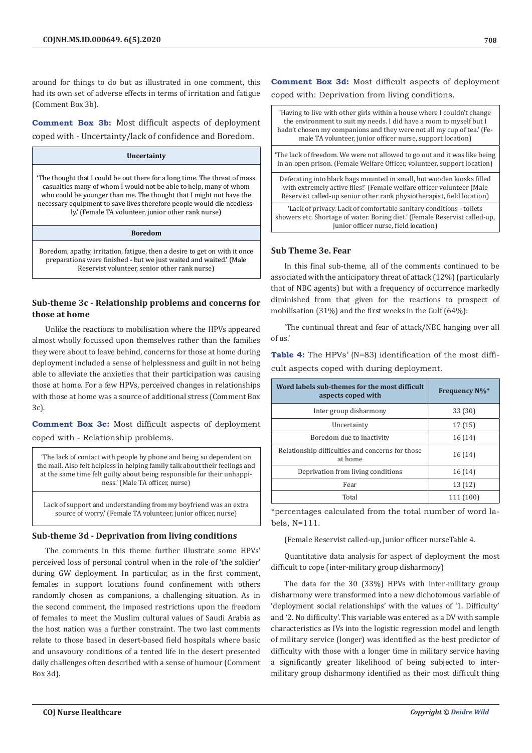around for things to do but as illustrated in one comment, this had its own set of adverse effects in terms of irritation and fatigue (Comment Box 3b).

**Comment Box 3b:** Most difficult aspects of deployment coped with - Uncertainty/lack of confidence and Boredom.

#### **Uncertainty**

'The thought that I could be out there for a long time. The threat of mass casualties many of whom I would not be able to help, many of whom who could be younger than me. The thought that I might not have the necessary equipment to save lives therefore people would die needlessly.' (Female TA volunteer, junior other rank nurse)

#### **Boredom**

Boredom, apathy, irritation, fatigue, then a desire to get on with it once preparations were finished - but we just waited and waited.' (Male Reservist volunteer, senior other rank nurse)

# **Sub-theme 3c - Relationship problems and concerns for those at home**

Unlike the reactions to mobilisation where the HPVs appeared almost wholly focussed upon themselves rather than the families they were about to leave behind, concerns for those at home during deployment included a sense of helplessness and guilt in not being able to alleviate the anxieties that their participation was causing those at home. For a few HPVs, perceived changes in relationships with those at home was a source of additional stress (Comment Box 3c).

**Comment Box 3c:** Most difficult aspects of deployment coped with - Relationship problems.

'The lack of contact with people by phone and being so dependent on the mail. Also felt helpless in helping family talk about their feelings and at the same time felt guilty about being responsible for their unhappiness.' (Male TA officer, nurse)

Lack of support and understanding from my boyfriend was an extra source of worry.' (Female TA volunteer, junior officer, nurse)

## **Sub-theme 3d - Deprivation from living conditions**

The comments in this theme further illustrate some HPVs' perceived loss of personal control when in the role of 'the soldier' during GW deployment. In particular, as in the first comment, females in support locations found confinement with others randomly chosen as companions, a challenging situation. As in the second comment, the imposed restrictions upon the freedom of females to meet the Muslim cultural values of Saudi Arabia as the host nation was a further constraint. The two last comments relate to those based in desert-based field hospitals where basic and unsavoury conditions of a tented life in the desert presented daily challenges often described with a sense of humour (Comment Box 3d).

**Comment Box 3d:** Most difficult aspects of deployment coped with: Deprivation from living conditions.

'Having to live with other girls within a house where I couldn't change the environment to suit my needs. I did have a room to myself but I hadn't chosen my companions and they were not all my cup of tea.' (Female TA volunteer, junior officer nurse, support location) 'The lack of freedom. We were not allowed to go out and it was like being in an open prison. (Female Welfare Officer, volunteer, support location) Defecating into black bags mounted in small, hot wooden kiosks filled with extremely active flies!' (Female welfare officer volunteer (Male Reservist called-up senior other rank physiotherapist, field location) 'Lack of privacy. Lack of comfortable sanitary conditions - toilets showers etc. Shortage of water. Boring diet.' (Female Reservist called-up, junior officer nurse, field location)

## **Sub Theme 3e. Fear**

In this final sub-theme, all of the comments continued to be associated with the anticipatory threat of attack (12%) (particularly that of NBC agents) but with a frequency of occurrence markedly diminished from that given for the reactions to prospect of mobilisation (31%) and the first weeks in the Gulf (64%):

'The continual threat and fear of attack/NBC hanging over all of us.'

**Table 4:** The HPVs' (N=83) identification of the most difficult aspects coped with during deployment.

| Word labels sub-themes for the most difficult<br>aspects coped with | <b>Frequency N%*</b> |
|---------------------------------------------------------------------|----------------------|
| Inter group disharmony                                              | 33 (30)              |
| Uncertainty                                                         | 17 (15)              |
| Boredom due to inactivity                                           | 16(14)               |
| Relationship difficulties and concerns for those<br>at home         | 16(14)               |
| Deprivation from living conditions                                  | 16(14)               |
| Fear                                                                | 13 (12)              |
| Total                                                               | 111 (100)            |

\*percentages calculated from the total number of word labels, N=111.

#### (Female Reservist called-up, junior officer nurseTable 4.

Quantitative data analysis for aspect of deployment the most difficult to cope (inter-military group disharmony)

The data for the 30 (33%) HPVs with inter-military group disharmony were transformed into a new dichotomous variable of 'deployment social relationships' with the values of '1. Difficulty' and '2. No difficulty'. This variable was entered as a DV with sample characteristics as IVs into the logistic regression model and length of military service (longer) was identified as the best predictor of difficulty with those with a longer time in military service having a significantly greater likelihood of being subjected to intermilitary group disharmony identified as their most difficult thing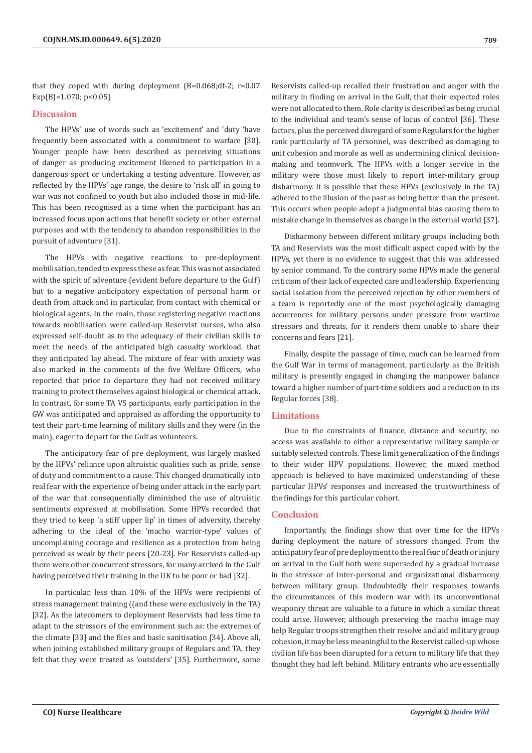that they coped with during deployment (B=0.068;df-2; r=0.07  $Exp(B)=1.070; p<0.05$ 

#### **Discussion**

The HPVs' use of words such as 'excitement' and 'duty 'have frequently been associated with a commitment to warfare [30]. Younger people have been described as perceiving situations of danger as producing excitement likened to participation in a dangerous sport or undertaking a testing adventure. However, as reflected by the HPVs' age range, the desire to 'risk all' in going to war was not confined to youth but also included those in mid-life. This has been recognised as a time when the participant has an increased focus upon actions that benefit society or other external purposes and with the tendency to abandon responsibilities in the pursuit of adventure [31].

The HPVs with negative reactions to pre-deployment mobilisation, tended to express these as fear. This was not associated with the spirit of adventure (evident before departure to the Gulf) but to a negative anticipatory expectation of personal harm or death from attack and in particular, from contact with chemical or biological agents. In the main, those registering negative reactions towards mobilisation were called-up Reservist nurses, who also expressed self-doubt as to the adequacy of their civilian skills to meet the needs of the anticipated high casualty workload. that they anticipated lay ahead. The mixture of fear with anxiety was also marked in the comments of the five Welfare Officers, who reported that prior to departure they had not received military training to protect themselves against biological or chemical attack. In contrast, for some TA VS participants, early participation in the GW was anticipated and appraised as affording the opportunity to test their part-time learning of military skills and they were (in the main), eager to depart for the Gulf as volunteers.

The anticipatory fear of pre deployment, was largely masked by the HPVs' reliance upon altruistic qualities such as pride, sense of duty and commitment to a cause. This changed dramatically into real fear with the experience of being under attack in the early part of the war that consequentially diminished the use of altruistic sentiments expressed at mobilisation. Some HPVs recorded that they tried to keep 'a stiff upper lip' in times of adversity, thereby adhering to the ideal of the 'macho warrior-type' values of uncomplaining courage and resilience as a protection from being perceived as weak by their peers [20-23]. For Reservists called-up there were other concurrent stressors, for many arrived in the Gulf having perceived their training in the UK to be poor or bad [32].

In particular, less than 10% of the HPVs were recipients of stress management training ((and these were exclusively in the TA) [32]. As the latecomers to deployment Reservists had less time to adapt to the stressors of the environment such as: the extremes of the climate [33] and the flies and basic sanitisation [34]. Above all, when joining established military groups of Regulars and TA, they felt that they were treated as 'outsiders' [35]. Furthermore, some

Reservists called-up recalled their frustration and anger with the military in finding on arrival in the Gulf, that their expected roles were not allocated to them. Role clarity is described as being crucial to the individual and team's sense of locus of control [36]. These factors, plus the perceived disregard of some Regulars for the higher rank particularly of TA personnel, was described as damaging to unit cohesion and morale as well as undermining clinical decisionmaking and teamwork. The HPVs with a longer service in the military were those most likely to report inter-military group disharmony. It is possible that these HPVs (exclusively in the TA) adhered to the illusion of the past as being better than the present. This occurs when people adopt a judgmental bias causing them to mistake change in themselves as change in the external world [37].

Disharmony between different military groups including both TA and Reservists was the most difficult aspect coped with by the HPVs, yet there is no evidence to suggest that this was addressed by senior command. To the contrary some HPVs made the general criticism of their lack of expected care and leadership. Experiencing social isolation from the perceived rejection by other members of a team is reportedly one of the most psychologically damaging occurrences for military persons under pressure from wartime stressors and threats, for it renders them unable to share their concerns and fears [21].

Finally, despite the passage of time, much can be learned from the Gulf War in terms of management, particularly as the British military is presently engaged in changing the manpower balance toward a higher number of part-time soldiers and a reduction in its Regular forces [38].

#### **Limitations**

Due to the constraints of finance, distance and security, no access was available to either a representative military sample or suitably selected controls. These limit generalization of the findings to their wider HPV populations. However, the mixed method approach is believed to have maximized understanding of these particular HPVs' responses and increased the trustworthiness of the findings for this particular cohort.

#### **Conclusion**

Importantly, the findings show that over time for the HPVs during deployment the nature of stressors changed. From the anticipatory fear of pre deployment to the real fear of death or injury on arrival in the Gulf both were superseded by a gradual increase in the stressor of inter-personal and organizational disharmony between military group. Undoubtedly their responses towards the circumstances of this modern war with its unconventional weaponry threat are valuable to a future in which a similar threat could arise. However, although preserving the macho image may help Regular troops strengthen their resolve and aid military group cohesion, it may be less meaningful to the Reservist called-up whose civilian life has been disrupted for a return to military life that they thought they had left behind. Military entrants who are essentially